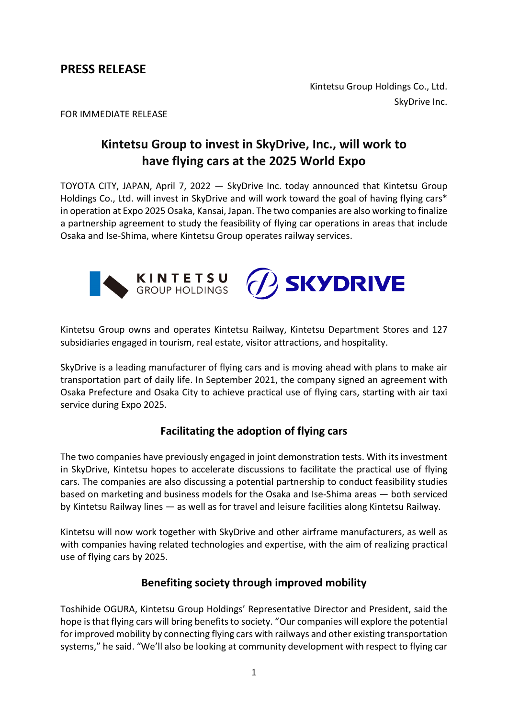**PRESS RELEASE** 

Kintetsu Group Holdings Co., Ltd. SkyDrive Inc.

FOR IMMEDIATE RELEASE

# **Kintetsu Group to invest in SkyDrive, Inc., will work to have flying cars at the 2025 World Expo**

TOYOTA CITY, JAPAN, April 7, 2022 — SkyDrive Inc. today announced that Kintetsu Group Holdings Co., Ltd. will invest in SkyDrive and will work toward the goal of having flying cars\* in operation at Expo 2025 Osaka, Kansai, Japan. The two companies are also working to finalize a partnership agreement to study the feasibility of flying car operations in areas that include Osaka and Ise-Shima, where Kintetsu Group operates railway services.



Kintetsu Group owns and operates Kintetsu Railway, Kintetsu Department Stores and 127 subsidiaries engaged in tourism, real estate, visitor attractions, and hospitality.

SkyDrive is a leading manufacturer of flying cars and is moving ahead with plans to make air transportation part of daily life. In September 2021, the company signed an agreement with Osaka Prefecture and Osaka City to achieve practical use of flying cars, starting with air taxi service during Expo 2025.

# **Facilitating the adoption of flying cars**

The two companies have previously engaged in joint demonstration tests. With its investment in SkyDrive, Kintetsu hopes to accelerate discussions to facilitate the practical use of flying cars. The companies are also discussing a potential partnership to conduct feasibility studies based on marketing and business models for the Osaka and Ise-Shima areas — both serviced by Kintetsu Railway lines — as well as for travel and leisure facilities along Kintetsu Railway.

Kintetsu will now work together with SkyDrive and other airframe manufacturers, as well as with companies having related technologies and expertise, with the aim of realizing practical use of flying cars by 2025.

# **Benefiting society through improved mobility**

Toshihide OGURA, Kintetsu Group Holdings' Representative Director and President, said the hope is that flying cars will bring benefits to society. "Our companies will explore the potential for improved mobility by connecting flying cars with railways and other existing transportation systems," he said. "We'll also be looking at community development with respect to flying car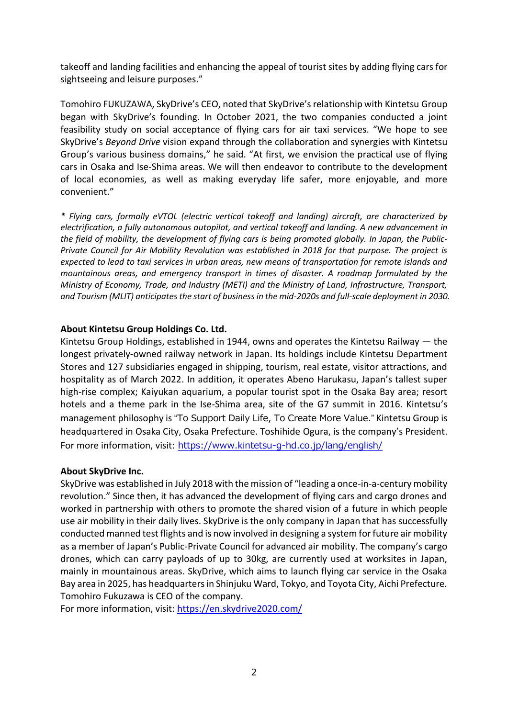takeoff and landing facilities and enhancing the appeal of tourist sites by adding flying cars for sightseeing and leisure purposes."

Tomohiro FUKUZAWA, SkyDrive's CEO, noted that SkyDrive's relationship with Kintetsu Group began with SkyDrive's founding. In October 2021, the two companies conducted a joint feasibility study on social acceptance of flying cars for air taxi services. "We hope to see SkyDrive's *Beyond Drive* vision expand through the collaboration and synergies with Kintetsu Group's various business domains," he said. "At first, we envision the practical use of flying cars in Osaka and Ise-Shima areas. We will then endeavor to contribute to the development of local economies, as well as making everyday life safer, more enjoyable, and more convenient."

*\* Flying cars, formally eVTOL (electric vertical takeoff and landing) aircraft, are characterized by electrification, a fully autonomous autopilot, and vertical takeoff and landing. A new advancement in the field of mobility, the development of flying cars is being promoted globally. In Japan, the Public-Private Council for Air Mobility Revolution was established in 2018 for that purpose. The project is expected to lead to taxi services in urban areas, new means of transportation for remote islands and mountainous areas, and emergency transport in times of disaster. A roadmap formulated by the Ministry of Economy, Trade, and Industry (METI) and the Ministry of Land, Infrastructure, Transport, and Tourism (MLIT) anticipates the start of business in the mid-2020s and full-scale deployment in 2030.*

## **About Kintetsu Group Holdings Co. Ltd.**

Kintetsu Group Holdings, established in 1944, owns and operates the Kintetsu Railway — the longest privately-owned railway network in Japan. Its holdings include Kintetsu Department Stores and 127 subsidiaries engaged in shipping, tourism, real estate, visitor attractions, and hospitality as of March 2022. In addition, it operates Abeno Harukasu, Japan's tallest super high-rise complex; Kaiyukan aquarium, a popular tourist spot in the Osaka Bay area; resort hotels and a theme park in the Ise-Shima area, site of the G7 summit in 2016. Kintetsu's management philosophy is "To Support Daily Life, To Create More Value." Kintetsu Group is headquartered in Osaka City, Osaka Prefecture. Toshihide Ogura, is the company's President. For more information, visit: <https://www.kintetsu-g-hd.co.jp/lang/english/>

## **About SkyDrive Inc.**

SkyDrive was established in July 2018 with the mission of "leading a once-in-a-century mobility revolution." Since then, it has advanced the development of flying cars and cargo drones and worked in partnership with others to promote the shared vision of a future in which people use air mobility in their daily lives. SkyDrive is the only company in Japan that has successfully conducted manned test flights and is now involved in designing a system for future air mobility as a member of Japan's Public-Private Council for advanced air mobility. The company's cargo drones, which can carry payloads of up to 30kg, are currently used at worksites in Japan, mainly in mountainous areas. SkyDrive, which aims to launch flying car service in the Osaka Bay area in 2025, has headquarters in Shinjuku Ward, Tokyo, and Toyota City, Aichi Prefecture. Tomohiro Fukuzawa is CEO of the company.

For more information, visit:<https://en.skydrive2020.com/>